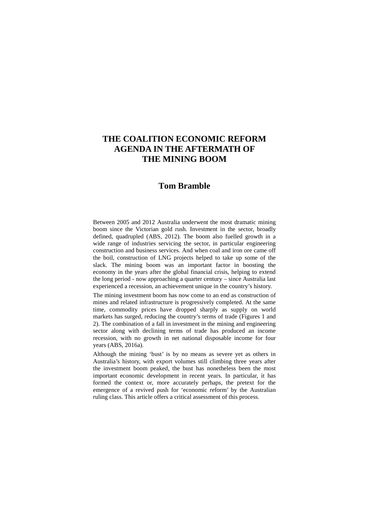# **THE COALITION ECONOMIC REFORM AGENDA IN THE AFTERMATH OF THE MINING BOOM**

## **Tom Bramble**

Between 2005 and 2012 Australia underwent the most dramatic mining boom since the Victorian gold rush. Investment in the sector, broadly defined, quadrupled (ABS, 2012). The boom also fuelled growth in a wide range of industries servicing the sector, in particular engineering construction and business services. And when coal and iron ore came off the boil, construction of LNG projects helped to take up some of the slack. The mining boom was an important factor in boosting the economy in the years after the global financial crisis, helping to extend the long period - now approaching a quarter century – since Australia last experienced a recession, an achievement unique in the country's history.

The mining investment boom has now come to an end as construction of mines and related infrastructure is progressively completed. At the same time, commodity prices have dropped sharply as supply on world markets has surged, reducing the country's terms of trade (Figures 1 and 2). The combination of a fall in investment in the mining and engineering sector along with declining terms of trade has produced an income recession, with no growth in net national disposable income for four years (ABS, 2016a).

Although the mining 'bust' is by no means as severe yet as others in Australia's history, with export volumes still climbing three years after the investment boom peaked, the bust has nonetheless been the most important economic development in recent years. In particular, it has formed the context or, more accurately perhaps, the pretext for the emergence of a revived push for 'economic reform' by the Australian ruling class. This article offers a critical assessment of this process.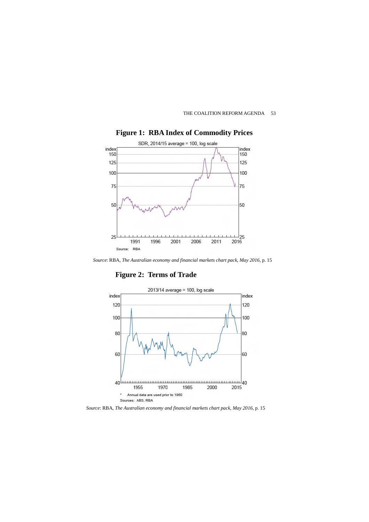



**Figure 1: RBA Index of Commodity Prices** 

*Source*: RBA, *The Australian economy and financial markets chart pack, May 2016*, p. 15

**Figure 2: Terms of Trade**



*Source*: RBA, *The Australian economy and financial markets chart pack, May 2016*, p. 15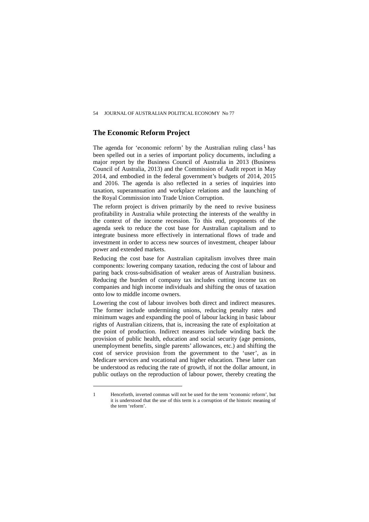### **The Economic Reform Project**

The agenda for 'economic reform' by the Australian ruling class<sup>[1](#page-2-0)</sup> has been spelled out in a series of important policy documents, including a major report by the Business Council of Australia in 2013 (Business Council of Australia, 2013) and the Commission of Audit report in May 2014, and embodied in the federal government's budgets of 2014, 2015 and 2016. The agenda is also reflected in a series of inquiries into taxation, superannuation and workplace relations and the launching of the Royal Commission into Trade Union Corruption.

The reform project is driven primarily by the need to revive business profitability in Australia while protecting the interests of the wealthy in the context of the income recession. To this end, proponents of the agenda seek to reduce the cost base for Australian capitalism and to integrate business more effectively in international flows of trade and investment in order to access new sources of investment, cheaper labour power and extended markets.

Reducing the cost base for Australian capitalism involves three main components: lowering company taxation, reducing the cost of labour and paring back cross-subsidisation of weaker areas of Australian business. Reducing the burden of company tax includes cutting income tax on companies and high income individuals and shifting the onus of taxation onto low to middle income owners.

Lowering the cost of labour involves both direct and indirect measures. The former include undermining unions, reducing penalty rates and minimum wages and expanding the pool of labour lacking in basic labour rights of Australian citizens, that is, increasing the rate of exploitation at the point of production. Indirect measures include winding back the provision of public health, education and social security (age pensions, unemployment benefits, single parents' allowances, etc.) and shifting the cost of service provision from the government to the 'user', as in Medicare services and vocational and higher education. These latter can be understood as reducing the rate of growth, if not the dollar amount, in public outlays on the reproduction of labour power, thereby creating the

 $\overline{a}$ 

<span id="page-2-0"></span><sup>1</sup> Henceforth, inverted commas will not be used for the term 'economic reform', but it is understood that the use of this term is a corruption of the historic meaning of the term 'reform'.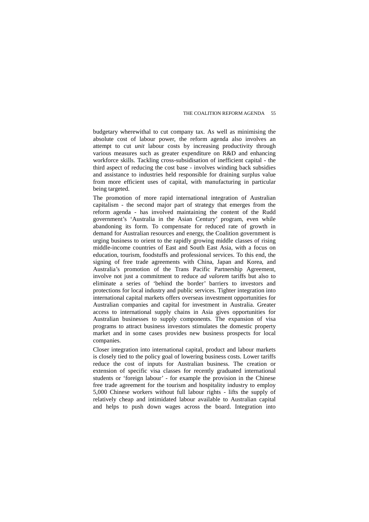budgetary wherewithal to cut company tax. As well as minimising the absolute cost of labour power, the reform agenda also involves an attempt to cut *unit* labour costs by increasing productivity through various measures such as greater expenditure on R&D and enhancing workforce skills. Tackling cross-subsidisation of inefficient capital - the third aspect of reducing the cost base - involves winding back subsidies and assistance to industries held responsible for draining surplus value from more efficient uses of capital, with manufacturing in particular being targeted.

The promotion of more rapid international integration of Australian capitalism - the second major part of strategy that emerges from the reform agenda - has involved maintaining the content of the Rudd government's 'Australia in the Asian Century' program, even while abandoning its form. To compensate for reduced rate of growth in demand for Australian resources and energy, the Coalition government is urging business to orient to the rapidly growing middle classes of rising middle-income countries of East and South East Asia, with a focus on education, tourism, foodstuffs and professional services. To this end, the signing of free trade agreements with China, Japan and Korea, and Australia's promotion of the Trans Pacific Partnership Agreement, involve not just a commitment to reduce *ad valorem* tariffs but also to eliminate a series of 'behind the border' barriers to investors and protections for local industry and public services. Tighter integration into international capital markets offers overseas investment opportunities for Australian companies and capital for investment in Australia. Greater access to international supply chains in Asia gives opportunities for Australian businesses to supply components. The expansion of visa programs to attract business investors stimulates the domestic property market and in some cases provides new business prospects for local companies.

Closer integration into international capital, product and labour markets is closely tied to the policy goal of lowering business costs. Lower tariffs reduce the cost of inputs for Australian business. The creation or extension of specific visa classes for recently graduated international students or 'foreign labour' - for example the provision in the Chinese free trade agreement for the tourism and hospitality industry to employ 5,000 Chinese workers without full labour rights - lifts the supply of relatively cheap and intimidated labour available to Australian capital and helps to push down wages across the board. Integration into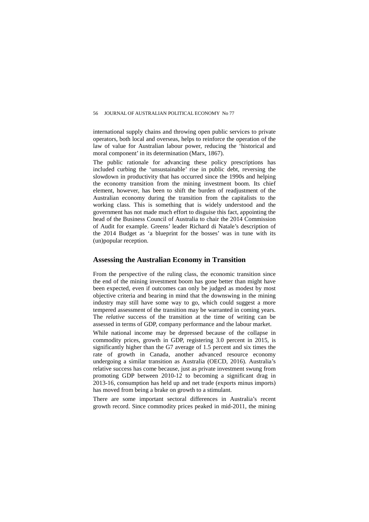international supply chains and throwing open public services to private operators, both local and overseas, helps to reinforce the operation of the law of value for Australian labour power, reducing the 'historical and moral component' in its determination (Marx, 1867).

The public rationale for advancing these policy prescriptions has included curbing the 'unsustainable' rise in public debt, reversing the slowdown in productivity that has occurred since the 1990s and helping the economy transition from the mining investment boom. Its chief element, however, has been to shift the burden of readjustment of the Australian economy during the transition from the capitalists to the working class. This is something that is widely understood and the government has not made much effort to disguise this fact, appointing the head of the Business Council of Australia to chair the 2014 Commission of Audit for example. Greens' leader Richard di Natale's description of the 2014 Budget as 'a blueprint for the bosses' was in tune with its (un)popular reception.

### **Assessing the Australian Economy in Transition**

From the perspective of the ruling class, the economic transition since the end of the mining investment boom has gone better than might have been expected, even if outcomes can only be judged as modest by most objective criteria and bearing in mind that the downswing in the mining industry may still have some way to go, which could suggest a more tempered assessment of the transition may be warranted in coming years. The *relative* success of the transition at the time of writing can be assessed in terms of GDP, company performance and the labour market.

While national income may be depressed because of the collapse in commodity prices, growth in GDP, registering 3.0 percent in 2015, is significantly higher than the G7 average of 1.5 percent and six times the rate of growth in Canada, another advanced resource economy undergoing a similar transition as Australia (OECD, 2016). Australia's relative success has come because, just as private investment swung from promoting GDP between 2010-12 to becoming a significant drag in 2013-16, consumption has held up and net trade (exports minus imports) has moved from being a brake on growth to a stimulant.

There are some important sectoral differences in Australia's recent growth record. Since commodity prices peaked in mid-2011, the mining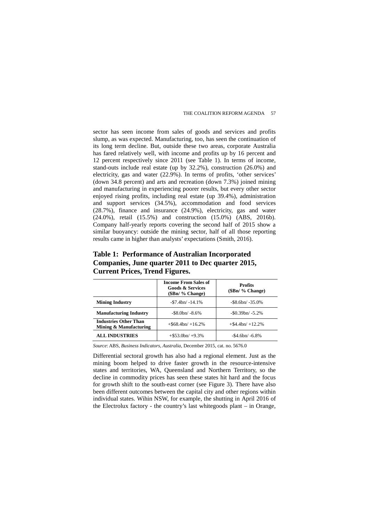sector has seen income from sales of goods and services and profits slump, as was expected. Manufacturing, too, has seen the continuation of its long term decline. But, outside these two areas, corporate Australia has fared relatively well, with income and profits up by 16 percent and 12 percent respectively since 2011 (see Table 1). In terms of income, stand-outs include real estate (up by 32.2%), construction (26.0%) and electricity, gas and water (22.9%). In terms of profits, 'other services' (down 34.8 percent) and arts and recreation (down 7.3%) joined mining and manufacturing in experiencing poorer results, but every other sector enjoyed rising profits, including real estate (up 39.4%), administration and support services (34.5%), accommodation and food services (28.7%), finance and insurance (24.9%), electricity, gas and water (24.0%), retail (15.5%) and construction (15.0%) (ABS, 2016b). Company half-yearly reports covering the second half of 2015 show a similar buoyancy: outside the mining sector, half of all those reporting results came in higher than analysts' expectations (Smith, 2016).

|                                                        | <b>Income From Sales of</b><br><b>Goods &amp; Services</b><br>$($Bn/$ % Change) | <b>Profits</b><br>$(SBn/$ % Change) |  |
|--------------------------------------------------------|---------------------------------------------------------------------------------|-------------------------------------|--|
| <b>Mining Industry</b>                                 | $-$ \$7.4bn/ $-$ 14.1%                                                          | $-$ \$8.6bn/ $-$ 35.0%              |  |
| <b>Manufacturing Industry</b>                          | $-$ \$8.0bn/ $-$ 8.6%                                                           | $-$ \$0.39bn/ $-$ 5.2%              |  |
| <b>Industries Other Than</b><br>Mining & Manufacturing | $+$ \$68.4bn/ $+$ 16.2%                                                         | $+$ \$4.4bn/ $+$ 12.2%              |  |
| <b>ALL INDUSTRIES</b>                                  | $+$ \$53.0bn/ $+$ 9.3%                                                          | $-$ \$4.6bn/ $-$ 6.8%               |  |

**Table 1: Performance of Australian Incorporated Companies, June quarter 2011 to Dec quarter 2015, Current Prices, Trend Figures.**

*Source*: ABS, *Business Indicators, Australia*, December 2015, cat. no. 5676.0

Differential sectoral growth has also had a regional element. Just as the mining boom helped to drive faster growth in the resource-intensive states and territories, WA, Queensland and Northern Territory, so the decline in commodity prices has seen these states hit hard and the focus for growth shift to the south-east corner (see Figure 3). There have also been different outcomes between the capital city and other regions within individual states. Wihin NSW, for example, the shutting in April 2016 of the Electrolux factory - the country's last whitegoods plant – in Orange,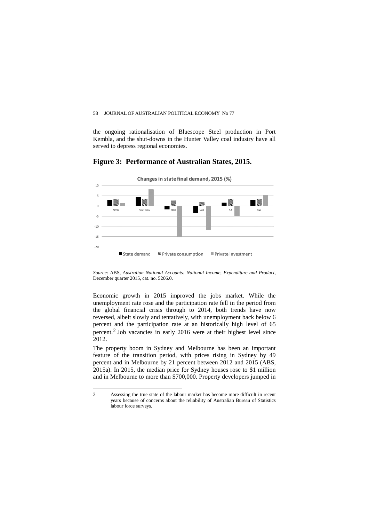the ongoing rationalisation of Bluescope Steel production in Port Kembla, and the shut-downs in the Hunter Valley coal industry have all served to depress regional economies.

### **Figure 3: Performance of Australian States, 2015.**



*Source*: ABS, *Australian National Accounts: National Income, Expenditure and Product*, December quarter 2015, cat. no. 5206.0.

Economic growth in 2015 improved the jobs market. While the unemployment rate rose and the participation rate fell in the period from the global financial crisis through to 2014, both trends have now reversed, albeit slowly and tentatively, with unemployment back below 6 percent and the participation rate at an historically high level of 65 percent.[2](#page-6-0) Job vacancies in early 2016 were at their highest level since 2012.

The property boom in Sydney and Melbourne has been an important feature of the transition period, with prices rising in Sydney by 49 percent and in Melbourne by 21 percent between 2012 and 2015 (ABS, 2015a). In 2015, the median price for Sydney houses rose to \$1 million and in Melbourne to more than \$700,000. Property developers jumped in

 $\overline{a}$ 

<span id="page-6-0"></span><sup>2</sup> Assessing the true state of the labour market has become more difficult in recent years because of concerns about the reliability of Australian Bureau of Statistics labour force surveys.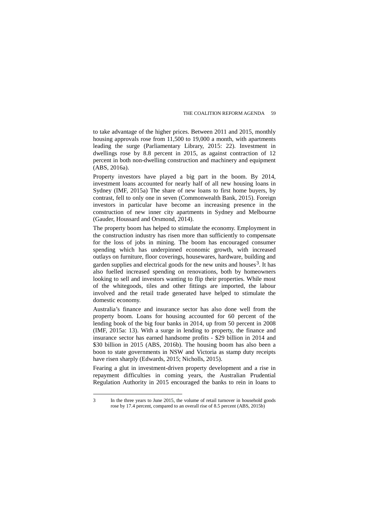to take advantage of the higher prices. Between 2011 and 2015, monthly housing approvals rose from 11,500 to 19,000 a month, with apartments leading the surge (Parliamentary Library, 2015: 22). Investment in dwellings rose by 8.8 percent in 2015, as against contraction of 12 percent in both non-dwelling construction and machinery and equipment (ABS, 2016a).

Property investors have played a big part in the boom. By 2014, investment loans accounted for nearly half of all new housing loans in Sydney (IMF, 2015a) The share of new loans to first home buyers, by contrast, fell to only one in seven (Commonwealth Bank, 2015). Foreign investors in particular have become an increasing presence in the construction of new inner city apartments in Sydney and Melbourne (Gauder, Houssard and Orsmond, 2014).

The property boom has helped to stimulate the economy. Employment in the construction industry has risen more than sufficiently to compensate for the loss of jobs in mining. The boom has encouraged consumer spending which has underpinned economic growth, with increased outlays on furniture, floor coverings, housewares, hardware, building and garden supplies and electrical goods for the new units and houses<sup>3</sup>. It has also fuelled increased spending on renovations, both by homeowners looking to sell and investors wanting to flip their properties. While most of the whitegoods, tiles and other fittings are imported, the labour involved and the retail trade generated have helped to stimulate the domestic economy.

Australia's finance and insurance sector has also done well from the property boom. Loans for housing accounted for 60 percent of the lending book of the big four banks in 2014, up from 50 percent in 2008 (IMF, 2015a: 13). With a surge in lending to property, the finance and insurance sector has earned handsome profits - \$29 billion in 2014 and \$30 billion in 2015 (ABS, 2016b). The housing boom has also been a boon to state governments in NSW and Victoria as stamp duty receipts have risen sharply (Edwards, 2015; Nicholls, 2015).

Fearing a glut in investment-driven property development and a rise in repayment difficulties in coming years, the Australian Prudential Regulation Authority in 2015 encouraged the banks to rein in loans to

 $\overline{a}$ 

<span id="page-7-0"></span><sup>3</sup> In the three years to June 2015, the volume of retail turnover in household goods rose by 17.4 percent, compared to an overall rise of 8.5 percent (ABS, 2015b)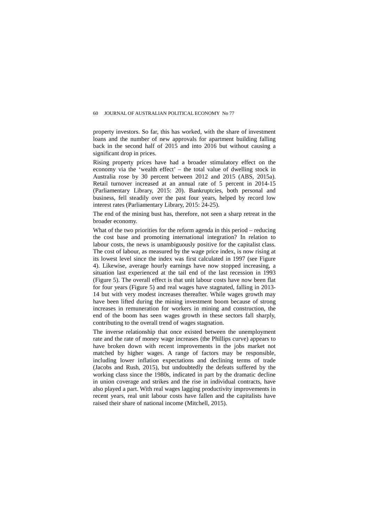property investors. So far, this has worked, with the share of investment loans and the number of new approvals for apartment building falling back in the second half of 2015 and into 2016 but without causing a significant drop in prices.

Rising property prices have had a broader stimulatory effect on the economy via the 'wealth effect' – the total value of dwelling stock in Australia rose by 30 percent between 2012 and 2015 (ABS, 2015a). Retail turnover increased at an annual rate of 5 percent in 2014-15 (Parliamentary Library, 2015: 20). Bankruptcies, both personal and business, fell steadily over the past four years, helped by record low interest rates (Parliamentary Library, 2015: 24-25).

The end of the mining bust has, therefore, not seen a sharp retreat in the broader economy.

What of the two priorities for the reform agenda in this period – reducing the cost base and promoting international integration? In relation to labour costs, the news is unambiguously positive for the capitalist class. The cost of labour, as measured by the wage price index, is now rising at its lowest level since the index was first calculated in 1997 (see Figure 4). Likewise, average hourly earnings have now stopped increasing, a situation last experienced at the tail end of the last recession in 1993 (Figure 5). The overall effect is that unit labour costs have now been flat for four years (Figure 5) and real wages have stagnated, falling in 2013- 14 but with very modest increases thereafter. While wages growth may have been lifted during the mining investment boom because of strong increases in remuneration for workers in mining and construction, the end of the boom has seen wages growth in these sectors fall sharply, contributing to the overall trend of wages stagnation.

The inverse relationship that once existed between the unemployment rate and the rate of money wage increases (the Phillips curve) appears to have broken down with recent improvements in the jobs market not matched by higher wages. A range of factors may be responsible, including lower inflation expectations and declining terms of trade (Jacobs and Rush, 2015), but undoubtedly the defeats suffered by the working class since the 1980s, indicated in part by the dramatic decline in union coverage and strikes and the rise in individual contracts, have also played a part. With real wages lagging productivity improvements in recent years, real unit labour costs have fallen and the capitalists have raised their share of national income (Mitchell, 2015).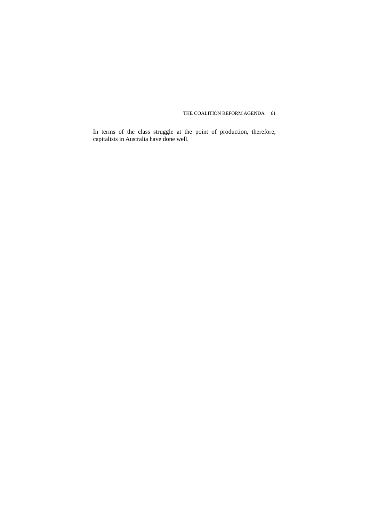In terms of the class struggle at the point of production, therefore, capitalists in Australia have done well.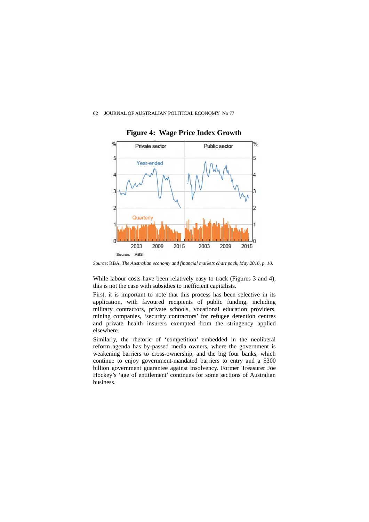

 **Figure 4: Wage Price Index Growth**

*Source*: RBA, *The Australian economy and financial markets chart pack, May 2016*, *p. 10.*

While labour costs have been relatively easy to track (Figures 3 and 4), this is not the case with subsidies to inefficient capitalists.

First, it is important to note that this process has been selective in its application, with favoured recipients of public funding, including military contractors, private schools, vocational education providers, mining companies, 'security contractors' for refugee detention centres and private health insurers exempted from the stringency applied elsewhere.

Similarly, the rhetoric of 'competition' embedded in the neoliberal reform agenda has by-passed media owners, where the government is weakening barriers to cross-ownership, and the big four banks, which continue to enjoy government-mandated barriers to entry and a \$300 billion government guarantee against insolvency. Former Treasurer Joe Hockey's 'age of entitlement' continues for some sections of Australian business.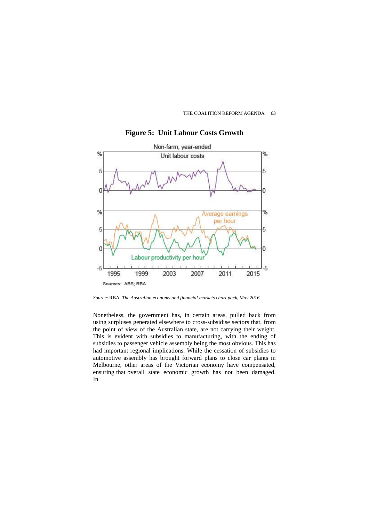



**Figure 5: Unit Labour Costs Growth**

*Source*: RBA, *The Australian economy and financial markets chart pack, May 2016*.

Nonetheless, the government has, in certain areas, pulled back from using surpluses generated elsewhere to cross-subsidise sectors that, from the point of view of the Australian state, are not carrying their weight. This is evident with subsidies to manufacturing, with the ending of subsidies to passenger vehicle assembly being the most obvious. This has had important regional implications. While the cessation of subsidies to automotive assembly has brought forward plans to close car plants in Melbourne, other areas of the Victorian economy have compensated, ensuring that overall state economic growth has not been damaged. In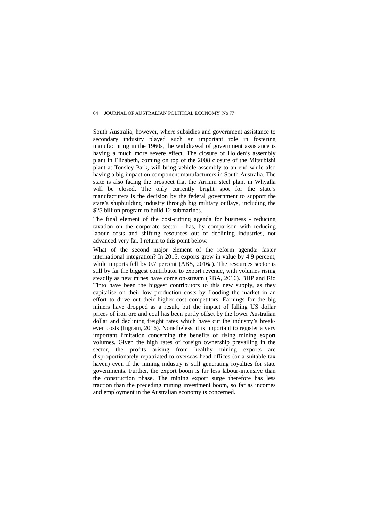South Australia, however, where subsidies and government assistance to secondary industry played such an important role in fostering manufacturing in the 1960s, the withdrawal of government assistance is having a much more severe effect. The closure of Holden's assembly plant in Elizabeth, coming on top of the 2008 closure of the Mitsubishi plant at Tonsley Park, will bring vehicle assembly to an end while also having a big impact on component manufacturers in South Australia. The state is also facing the prospect that the Arrium steel plant in Whyalla will be closed. The only currently bright spot for the state's manufacturers is the decision by the federal government to support the state's shipbuilding industry through big military outlays, including the \$25 billion program to build 12 submarines.

The final element of the cost-cutting agenda for business - reducing taxation on the corporate sector - has, by comparison with reducing labour costs and shifting resources out of declining industries, not advanced very far. I return to this point below.

What of the second major element of the reform agenda: faster international integration? In 2015, exports grew in value by 4.9 percent, while imports fell by 0.7 percent (ABS, 2016a). The resources sector is still by far the biggest contributor to export revenue, with volumes rising steadily as new mines have come on-stream (RBA, 2016). BHP and Rio Tinto have been the biggest contributors to this new supply, as they capitalise on their low production costs by flooding the market in an effort to drive out their higher cost competitors. Earnings for the big miners have dropped as a result, but the impact of falling US dollar prices of iron ore and coal has been partly offset by the lower Australian dollar and declining freight rates which have cut the industry's breakeven costs (Ingram, 2016). Nonetheless, it is important to register a very important limitation concerning the benefits of rising mining export volumes. Given the high rates of foreign ownership prevailing in the sector, the profits arising from healthy mining exports are disproportionately repatriated to overseas head offices (or a suitable tax haven) even if the mining industry is still generating royalties for state governments. Further, the export boom is far less labour-intensive than the construction phase. The mining export surge therefore has less traction than the preceding mining investment boom, so far as incomes and employment in the Australian economy is concerned.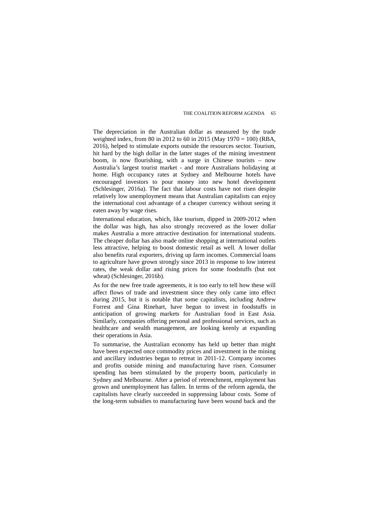The depreciation in the Australian dollar as measured by the trade weighted index, from 80 in 2012 to 60 in 2015 (May 1970 = 100) (RBA, 2016), helped to stimulate exports outside the resources sector. Tourism, hit hard by the high dollar in the latter stages of the mining investment boom, is now flourishing, with a surge in Chinese tourists – now Australia's largest tourist market - and more Australians holidaying at home. High occupancy rates at Sydney and Melbourne hotels have encouraged investors to pour money into new hotel development (Schlesinger, 2016a). The fact that labour costs have not risen despite relatively low unemployment means that Australian capitalists can enjoy the international cost advantage of a cheaper currency without seeing it eaten away by wage rises.

International education, which, like tourism, dipped in 2009-2012 when the dollar was high, has also strongly recovered as the lower dollar makes Australia a more attractive destination for international students. The cheaper dollar has also made online shopping at international outlets less attractive, helping to boost domestic retail as well. A lower dollar also benefits rural exporters, driving up farm incomes. Commercial loans to agriculture have grown strongly since 2013 in response to low interest rates, the weak dollar and rising prices for some foodstuffs (but not wheat) (Schlesinger, 2016b).

As for the new free trade agreements, it is too early to tell how these will affect flows of trade and investment since they only came into effect during 2015, but it is notable that some capitalists, including Andrew Forrest and Gina Rinehart, have begun to invest in foodstuffs in anticipation of growing markets for Australian food in East Asia. Similarly, companies offering personal and professional services, such as healthcare and wealth management, are looking keenly at expanding their operations in Asia.

To summarise, the Australian economy has held up better than might have been expected once commodity prices and investment in the mining and ancillary industries began to retreat in 2011-12. Company incomes and profits outside mining and manufacturing have risen. Consumer spending has been stimulated by the property boom, particularly in Sydney and Melbourne. After a period of retrenchment, employment has grown and unemployment has fallen. In terms of the reform agenda, the capitalists have clearly succeeded in suppressing labour costs. Some of the long-term subsidies to manufacturing have been wound back and the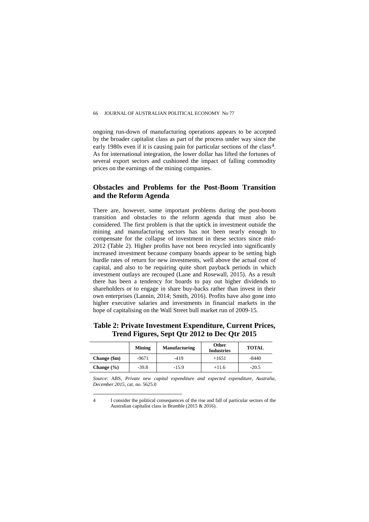ongoing run-down of manufacturing operations appears to be accepted by the broader capitalist class as part of the process under way since the early 1980s even if it is causing pain for particular sections of the class<sup>4</sup>. As for international integration, the lower dollar has lifted the fortunes of several export sectors and cushioned the impact of falling commodity prices on the earnings of the mining companies.

## **Obstacles and Problems for the Post-Boom Transition and the Reform Agenda**

There are, however, some important problems during the post-boom transition and obstacles to the reform agenda that must also be considered. The first problem is that the uptick in investment outside the mining and manufacturing sectors has not been nearly enough to compensate for the collapse of investment in these sectors since mid-2012 (Table 2). Higher profits have not been recycled into significantly increased investment because company boards appear to be setting high hurdle rates of return for new investments, well above the actual cost of capital, and also to be requiring quite short payback periods in which investment outlays are recouped (Lane and Rosewall, 2015). As a result there has been a tendency for boards to pay out higher dividends to shareholders or to engage in share buy-backs rather than invest in their own enterprises (Lannin, 2014; Smith, 2016). Profits have also gone into higher executive salaries and investments in financial markets in the hope of capitalising on the Wall Street bull market run of 2009-15.

**Table 2: Private Investment Expenditure, Current Prices, Trend Figures, Sept Qtr 2012 to Dec Qtr 2015** 

|                | <b>Mining</b> | <b>Manufacturing</b> | <b>Other</b><br><b>Industries</b> | <b>TOTAL</b> |
|----------------|---------------|----------------------|-----------------------------------|--------------|
| Change (\$m)   | $-9671$       | -419                 | $+1651$                           | $-8440$      |
| Change $(\% )$ | $-39.8$       | $-15.9$              | $+11.6$                           | $-20.5$      |

*Source*: ABS, *Private new capital expenditure and expected expenditure, Australia, December 2015*, cat. no. 5625.0

 $\overline{a}$ 

<span id="page-14-0"></span><sup>4</sup> I consider the political consequences of the rise and fall of particular sectors of the Australian capitalist class in Bramble (2015 & 2016).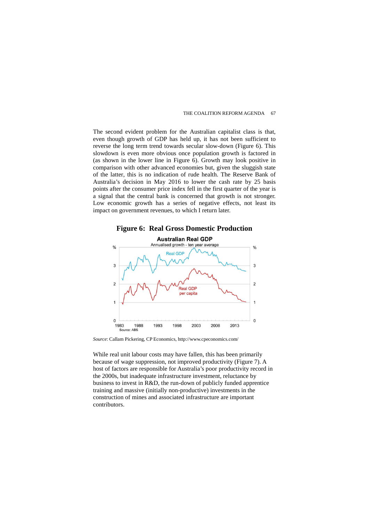The second evident problem for the Australian capitalist class is that, even though growth of GDP has held up, it has not been sufficient to reverse the long term trend towards secular slow-down (Figure 6). This slowdown is even more obvious once population growth is factored in (as shown in the lower line in Figure 6). Growth may look positive in comparison with other advanced economies but, given the sluggish state of the latter, this is no indication of rude health. The Reserve Bank of Australia's decision in May 2016 to lower the cash rate by 25 basis points after the consumer price index fell in the first quarter of the year is a signal that the central bank is concerned that growth is not stronger. Low economic growth has a series of negative effects, not least its impact on government revenues, to which I return later.





*Source*: Callam Pickering, CP Economics, http://www.cpeconomics.com/

While real unit labour costs may have fallen, this has been primarily because of wage suppression, not improved productivity (Figure 7). A host of factors are responsible for Australia's poor productivity record in the 2000s, but inadequate infrastructure investment, reluctance by business to invest in R&D, the run-down of publicly funded apprentice training and massive (initially non-productive) investments in the construction of mines and associated infrastructure are important contributors.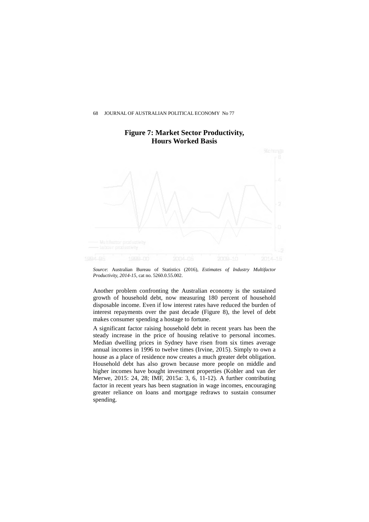

## **Figure 7: Market Sector Productivity, Hours Worked Basis**

*Source*: Australian Bureau of Statistics (2016), *Estimates of Industry Multifactor Productivity, 2014-15*, cat no. 5260.0.55.002.

Another problem confronting the Australian economy is the sustained growth of household debt, now measuring 180 percent of household disposable income. Even if low interest rates have reduced the burden of interest repayments over the past decade (Figure 8), the level of debt makes consumer spending a hostage to fortune.

A significant factor raising household debt in recent years has been the steady increase in the price of housing relative to personal incomes. Median dwelling prices in Sydney have risen from six times average annual incomes in 1996 to twelve times (Irvine, 2015). Simply to own a house as a place of residence now creates a much greater debt obligation. Household debt has also grown because more people on middle and higher incomes have bought investment properties (Kohler and van der Merwe, 2015: 24, 28; IMF, 2015a: 3, 6, 11-12). A further contributing factor in recent years has been stagnation in wage incomes, encouraging greater reliance on loans and mortgage redraws to sustain consumer spending.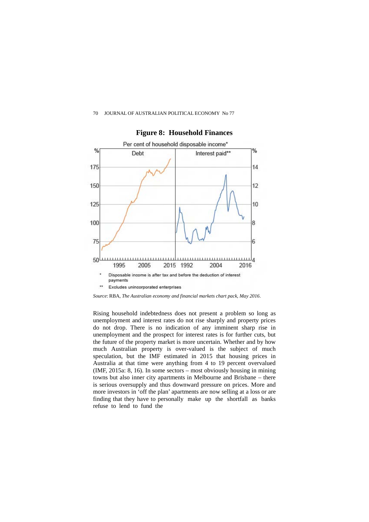

### **Figure 8: Household Finances**

*Source*: RBA, *The Australian economy and financial markets chart pack, May 2016*.

Rising household indebtedness does not present a problem so long as unemployment and interest rates do not rise sharply and property prices do not drop. There is no indication of any imminent sharp rise in unemployment and the prospect for interest rates is for further cuts, but the future of the property market is more uncertain. Whether and by how much Australian property is over-valued is the subject of much speculation, but the IMF estimated in 2015 that housing prices in Australia at that time were anything from 4 to 19 percent overvalued (IMF, 2015a: 8, 16). In some sectors – most obviously housing in mining towns but also inner city apartments in Melbourne and Brisbane – there is serious oversupply and thus downward pressure on prices. More and more investors in 'off the plan' apartments are now selling at a loss or are finding that they have to personally make up the shortfall as banks refuse to lend to fund the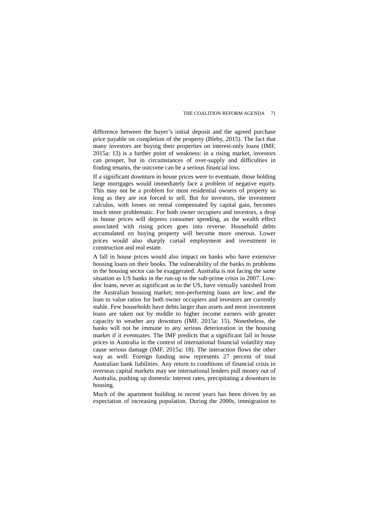difference between the buyer's initial deposit and the agreed purchase price payable on completion of the property (Bleby, 2015). The fact that many investors are buying their properties on interest-only loans (IMF, 2015a: 13) is a further point of weakness: in a rising market, investors can prosper, but in circumstances of over-supply and difficulties in finding tenants, the outcome can be a serious financial loss.

If a significant downturn in house prices were to eventuate, those holding large mortgages would immediately face a problem of negative equity. This may not be a problem for most residential owners of property so long as they are not forced to sell. But for investors, the investment calculus, with losses on rental compensated by capital gain, becomes much more problematic. For both owner occupiers and investors, a drop in house prices will depress consumer spending, as the wealth effect associated with rising prices goes into reverse. Household debts accumulated on buying property will become more onerous. Lower prices would also sharply curtail employment and investment in construction and real estate.

A fall in house prices would also impact on banks who have extensive housing loans on their books. The vulnerability of the banks to problems in the housing sector can be exaggerated. Australia is not facing the same situation as US banks in the run-up to the sub-prime crisis in 2007. Lowdoc loans, never as significant as in the US, have virtually vanished from the Australian housing market; non-performing loans are low; and the loan to value ratios for both owner occupiers and investors are currently stable. Few households have debts larger than assets and most investment loans are taken out by middle to higher income earners with greater capacity to weather any downturn (IMF, 2015a: 15). Nonetheless, the banks will not be immune to any serious deterioration in the housing market if it eventuates. The IMF predicts that a significant fall in house prices in Australia in the context of international financial volatility may cause serious damage (IMF, 2015a: 18). The interaction flows the other way as well. Foreign funding now represents 27 percent of total Australian bank liabilities. Any return to conditions of financial crisis in overseas capital markets may see international lenders pull money out of Australia, pushing up domestic interest rates, precipitating a downturn in housing.

Much of the apartment building in recent years has been driven by an expectation of increasing population. During the 2000s, immigration to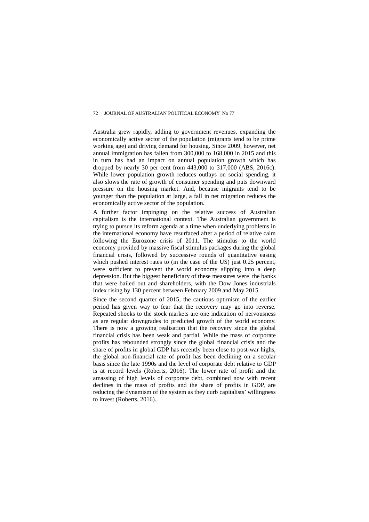Australia grew rapidly, adding to government revenues, expanding the economically active sector of the population (migrants tend to be prime working age) and driving demand for housing. Since 2009, however, net annual immigration has fallen from 300,000 to 168,000 in 2015 and this in turn has had an impact on annual population growth which has dropped by nearly 30 per cent from 443,000 to 317,000 (ABS, 2016c). While lower population growth reduces outlays on social spending, it also slows the rate of growth of consumer spending and puts downward pressure on the housing market. And, because migrants tend to be younger than the population at large, a fall in net migration reduces the economically active sector of the population.

A further factor impinging on the relative success of Australian capitalism is the international context. The Australian government is trying to pursue its reform agenda at a time when underlying problems in the international economy have resurfaced after a period of relative calm following the Eurozone crisis of 2011. The stimulus to the world economy provided by massive fiscal stimulus packages during the global financial crisis, followed by successive rounds of quantitative easing which pushed interest rates to (in the case of the US) just 0.25 percent, were sufficient to prevent the world economy slipping into a deep depression. But the biggest beneficiary of these measures were the banks that were bailed out and shareholders, with the Dow Jones industrials index rising by 130 percent between February 2009 and May 2015.

Since the second quarter of 2015, the cautious optimism of the earlier period has given way to fear that the recovery may go into reverse. Repeated shocks to the stock markets are one indication of nervousness as are regular downgrades to predicted growth of the world economy. There is now a growing realisation that the recovery since the global financial crisis has been weak and partial. While the mass of corporate profits has rebounded strongly since the global financial crisis and the share of profits in global GDP has recently been close to post-war highs, the global non-financial rate of profit has been declining on a secular basis since the late 1990s and the level of corporate debt relative to GDP is at record levels (Roberts, 2016). The lower rate of profit and the amassing of high levels of corporate debt, combined now with recent declines in the mass of profits and the share of profits in GDP, are reducing the dynamism of the system as they curb capitalists' willingness to invest (Roberts, 2016).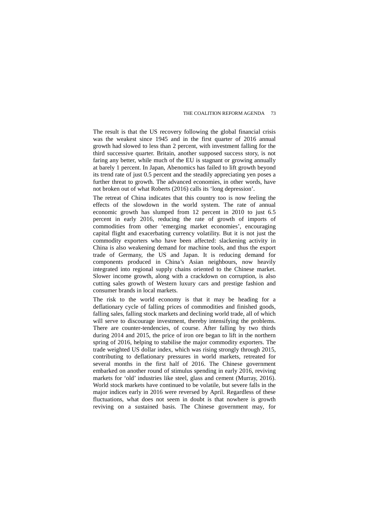The result is that the US recovery following the global financial crisis was the weakest since 1945 and in the first quarter of 2016 annual growth had slowed to less than 2 percent, with investment falling for the third successive quarter. Britain, another supposed success story, is not faring any better, while much of the EU is stagnant or growing annually at barely 1 percent. In Japan, Abenomics has failed to lift growth beyond its trend rate of just 0.5 percent and the steadily appreciating yen poses a further threat to growth. The advanced economies, in other words, have not broken out of what Roberts (2016) calls its 'long depression'.

The retreat of China indicates that this country too is now feeling the effects of the slowdown in the world system. The rate of annual economic growth has slumped from 12 percent in 2010 to just 6.5 percent in early 2016, reducing the rate of growth of imports of commodities from other 'emerging market economies', encouraging capital flight and exacerbating currency volatility. But it is not just the commodity exporters who have been affected: slackening activity in China is also weakening demand for machine tools, and thus the export trade of Germany, the US and Japan. It is reducing demand for components produced in China's Asian neighbours, now heavily integrated into regional supply chains oriented to the Chinese market. Slower income growth, along with a crackdown on corruption, is also cutting sales growth of Western luxury cars and prestige fashion and consumer brands in local markets.

The risk to the world economy is that it may be heading for a deflationary cycle of falling prices of commodities and finished goods, falling sales, falling stock markets and declining world trade, all of which will serve to discourage investment, thereby intensifying the problems. There are counter-tendencies, of course. After falling by two thirds during 2014 and 2015, the price of iron ore began to lift in the northern spring of 2016, helping to stabilise the major commodity exporters. The trade weighted US dollar index, which was rising strongly through 2015, contributing to deflationary pressures in world markets, retreated for several months in the first half of 2016. The Chinese government embarked on another round of stimulus spending in early 2016, reviving markets for 'old' industries like steel, glass and cement (Murray, 2016). World stock markets have continued to be volatile, but severe falls in the major indices early in 2016 were reversed by April. Regardless of these fluctuations, what does not seem in doubt is that nowhere is growth reviving on a sustained basis. The Chinese government may, for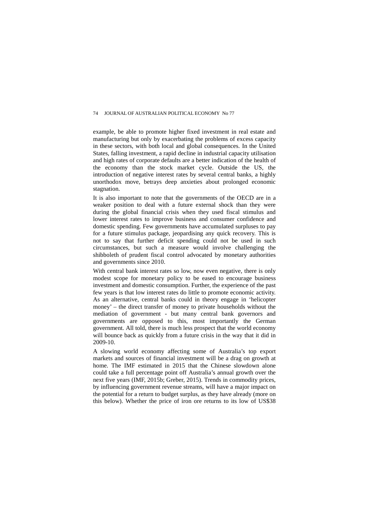example, be able to promote higher fixed investment in real estate and manufacturing but only by exacerbating the problems of excess capacity in these sectors, with both local and global consequences. In the United States, falling investment, a rapid decline in industrial capacity utilisation and high rates of corporate defaults are a better indication of the health of the economy than the stock market cycle. Outside the US, the introduction of negative interest rates by several central banks, a highly unorthodox move, betrays deep anxieties about prolonged economic stagnation.

It is also important to note that the governments of the OECD are in a weaker position to deal with a future external shock than they were during the global financial crisis when they used fiscal stimulus and lower interest rates to improve business and consumer confidence and domestic spending. Few governments have accumulated surpluses to pay for a future stimulus package, jeopardising any quick recovery. This is not to say that further deficit spending could not be used in such circumstances, but such a measure would involve challenging the shibboleth of prudent fiscal control advocated by monetary authorities and governments since 2010.

With central bank interest rates so low, now even negative, there is only modest scope for monetary policy to be eased to encourage business investment and domestic consumption. Further, the experience of the past few years is that low interest rates do little to promote economic activity. As an alternative, central banks could in theory engage in 'helicopter money' – the direct transfer of money to private households without the mediation of government - but many central bank governors and governments are opposed to this, most importantly the German government. All told, there is much less prospect that the world economy will bounce back as quickly from a future crisis in the way that it did in 2009-10.

A slowing world economy affecting some of Australia's top export markets and sources of financial investment will be a drag on growth at home. The IMF estimated in 2015 that the Chinese slowdown alone could take a full percentage point off Australia's annual growth over the next five years (IMF, 2015b; Greber, 2015). Trends in commodity prices, by influencing government revenue streams, will have a major impact on the potential for a return to budget surplus, as they have already (more on this below). Whether the price of iron ore returns to its low of US\$38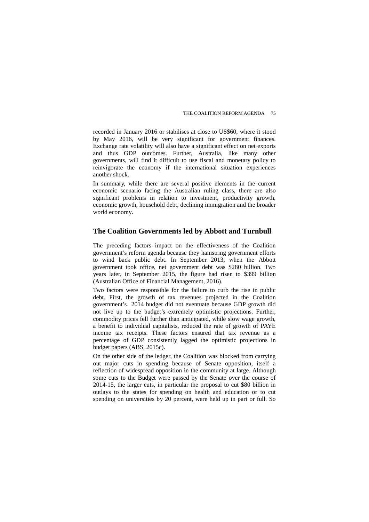recorded in January 2016 or stabilises at close to US\$60, where it stood by May 2016, will be very significant for government finances. Exchange rate volatility will also have a significant effect on net exports and thus GDP outcomes. Further, Australia, like many other governments, will find it difficult to use fiscal and monetary policy to reinvigorate the economy if the international situation experiences another shock.

In summary, while there are several positive elements in the current economic scenario facing the Australian ruling class, there are also significant problems in relation to investment, productivity growth, economic growth, household debt, declining immigration and the broader world economy.

### **The Coalition Governments led by Abbott and Turnbull**

The preceding factors impact on the effectiveness of the Coalition government's reform agenda because they hamstring government efforts to wind back public debt. In September 2013, when the Abbott government took office, net government debt was \$280 billion. Two years later, in September 2015, the figure had risen to \$399 billion (Australian Office of Financial Management, 2016).

Two factors were responsible for the failure to curb the rise in public debt. First, the growth of tax revenues projected in the Coalition government's 2014 budget did not eventuate because GDP growth did not live up to the budget's extremely optimistic projections. Further, commodity prices fell further than anticipated, while slow wage growth, a benefit to individual capitalists, reduced the rate of growth of PAYE income tax receipts. These factors ensured that tax revenue as a percentage of GDP consistently lagged the optimistic projections in budget papers (ABS, 2015c).

On the other side of the ledger, the Coalition was blocked from carrying out major cuts in spending because of Senate opposition, itself a reflection of widespread opposition in the community at large. Although some cuts to the Budget were passed by the Senate over the course of 2014-15, the larger cuts, in particular the proposal to cut \$80 billion in outlays to the states for spending on health and education or to cut spending on universities by 20 percent, were held up in part or full. So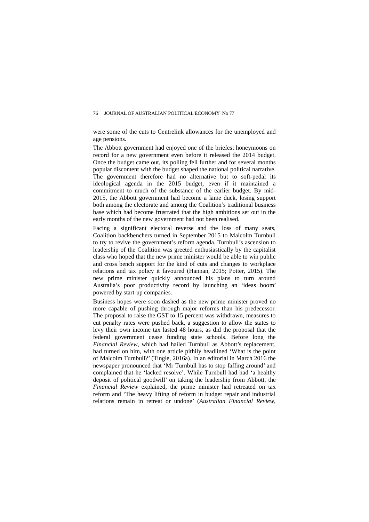were some of the cuts to Centrelink allowances for the unemployed and age pensions.

The Abbott government had enjoyed one of the briefest honeymoons on record for a new government even before it released the 2014 budget. Once the budget came out, its polling fell further and for several months popular discontent with the budget shaped the national political narrative. The government therefore had no alternative but to soft-pedal its ideological agenda in the 2015 budget, even if it maintained a commitment to much of the substance of the earlier budget. By mid-2015, the Abbott government had become a lame duck, losing support both among the electorate and among the Coalition's traditional business base which had become frustrated that the high ambitions set out in the early months of the new government had not been realised.

Facing a significant electoral reverse and the loss of many seats, Coalition backbenchers turned in September 2015 to Malcolm Turnbull to try to revive the government's reform agenda. Turnbull's ascension to leadership of the Coalition was greeted enthusiastically by the capitalist class who hoped that the new prime minister would be able to win public and cross bench support for the kind of cuts and changes to workplace relations and tax policy it favoured (Hannan, 2015; Potter, 2015). The new prime minister quickly announced his plans to turn around Australia's poor productivity record by launching an 'ideas boom' powered by start-up companies.

Business hopes were soon dashed as the new prime minister proved no more capable of pushing through major reforms than his predecessor. The proposal to raise the GST to 15 percent was withdrawn, measures to cut penalty rates were pushed back, a suggestion to allow the states to levy their own income tax lasted 48 hours, as did the proposal that the federal government cease funding state schools. Before long the *Financial Review*, which had hailed Turnbull as Abbott's replacement, had turned on him, with one article pithily headlined 'What is the point of Malcolm Turnbull?' (Tingle, 2016a). In an editorial in March 2016 the newspaper pronounced that 'Mr Turnbull has to stop faffing around' and complained that he 'lacked resolve'. While Turnbull had had 'a healthy deposit of political goodwill' on taking the leadership from Abbott, the *Financial Review* explained, the prime minister had retreated on tax reform and 'The heavy lifting of reform in budget repair and industrial relations remain in retreat or undone' (*Australian Financial Review*,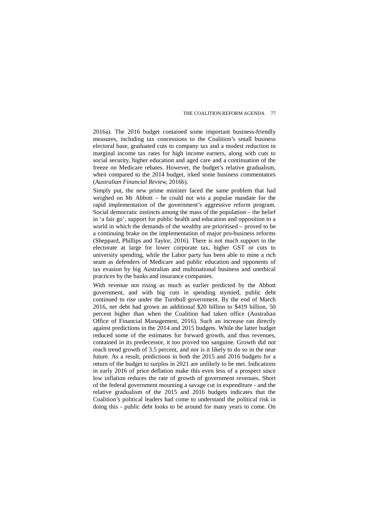2016a). The 2016 budget contained some important business-friendly measures, including tax concessions to the Coalition's small business electoral base, graduated cuts to company tax and a modest reduction in marginal income tax rates for high income earners, along with cuts to social security, higher education and aged care and a continuation of the freeze on Medicare rebates. However, the budget's relative gradualism, when compared to the 2014 budget, irked some business commentators (*Australian Financial Review,* 2016b).

Simply put, the new prime minister faced the same problem that had weighed on Mr Abbott – he could not win a popular mandate for the rapid implementation of the government's aggressive reform program. Social democratic instincts among the mass of the population – the belief in 'a fair go', support for public health and education and opposition to a world in which the demands of the wealthy are prioritised – proved to be a continuing brake on the implementation of major pro-business reforms (Sheppard, Phillips and Taylor, 2016). There is not much support in the electorate at large for lower corporate tax, higher GST or cuts to university spending, while the Labor party has been able to mine a rich seam as defenders of Medicare and public education and opponents of tax evasion by big Australian and multinational business and unethical practices by the banks and insurance companies.

With revenue not rising as much as earlier predicted by the Abbott government, and with big cuts in spending stymied, public debt continued to rise under the Turnbull government. By the end of March 2016, net debt had grown an additional \$20 billion to \$419 billion, 50 percent higher than when the Coalition had taken office (Australian Office of Financial Management, 2016). Such an increase ran directly against predictions in the 2014 and 2015 budgets. While the latter budget reduced some of the estimates for forward growth, and thus revenues, contained in its predecessor, it too proved too sanguine. Growth did not reach trend growth of 3.5 percent, and nor is it likely to do so in the near future. As a result, predictions in both the 2015 and 2016 budgets for a return of the budget to surplus in 2021 are unlikely to be met. Indications in early 2016 of price deflation make this even less of a prospect since low inflation reduces the rate of growth of government revenues. Short of the federal government mounting a savage cut in expenditure - and the relative gradualism of the 2015 and 2016 budgets indicates that the Coalition's political leaders had come to understand the political risk in doing this - public debt looks to be around for many years to come. On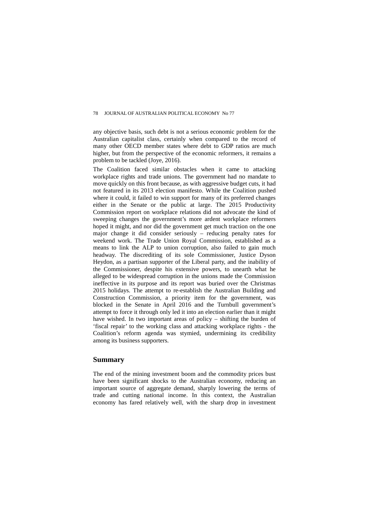any objective basis, such debt is not a serious economic problem for the Australian capitalist class, certainly when compared to the record of many other OECD member states where debt to GDP ratios are much higher, but from the perspective of the economic reformers, it remains a problem to be tackled (Joye, 2016).

The Coalition faced similar obstacles when it came to attacking workplace rights and trade unions. The government had no mandate to move quickly on this front because, as with aggressive budget cuts, it had not featured in its 2013 election manifesto. While the Coalition pushed where it could, it failed to win support for many of its preferred changes either in the Senate or the public at large. The 2015 Productivity Commission report on workplace relations did not advocate the kind of sweeping changes the government's more ardent workplace reformers hoped it might, and nor did the government get much traction on the one major change it did consider seriously – reducing penalty rates for weekend work. The Trade Union Royal Commission, established as a means to link the ALP to union corruption, also failed to gain much headway. The discrediting of its sole Commissioner, Justice Dyson Heydon, as a partisan supporter of the Liberal party, and the inability of the Commissioner, despite his extensive powers, to unearth what he alleged to be widespread corruption in the unions made the Commission ineffective in its purpose and its report was buried over the Christmas 2015 holidays. The attempt to re-establish the Australian Building and Construction Commission, a priority item for the government, was blocked in the Senate in April 2016 and the Turnbull government's attempt to force it through only led it into an election earlier than it might have wished. In two important areas of policy – shifting the burden of 'fiscal repair' to the working class and attacking workplace rights - the Coalition's reform agenda was stymied, undermining its credibility among its business supporters.

### **Summary**

The end of the mining investment boom and the commodity prices bust have been significant shocks to the Australian economy, reducing an important source of aggregate demand, sharply lowering the terms of trade and cutting national income. In this context, the Australian economy has fared relatively well, with the sharp drop in investment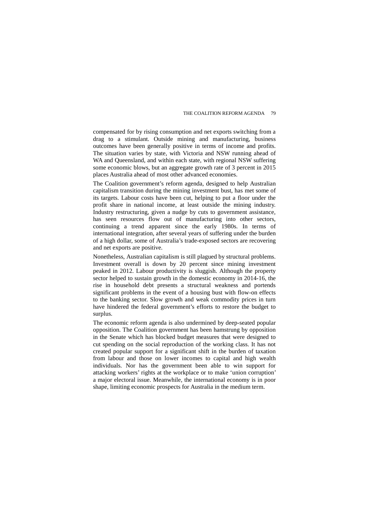compensated for by rising consumption and net exports switching from a drag to a stimulant. Outside mining and manufacturing, business outcomes have been generally positive in terms of income and profits. The situation varies by state, with Victoria and NSW running ahead of WA and Queensland, and within each state, with regional NSW suffering some economic blows, but an aggregate growth rate of 3 percent in 2015 places Australia ahead of most other advanced economies.

The Coalition government's reform agenda, designed to help Australian capitalism transition during the mining investment bust, has met some of its targets. Labour costs have been cut, helping to put a floor under the profit share in national income, at least outside the mining industry. Industry restructuring, given a nudge by cuts to government assistance, has seen resources flow out of manufacturing into other sectors, continuing a trend apparent since the early 1980s. In terms of international integration, after several years of suffering under the burden of a high dollar, some of Australia's trade-exposed sectors are recovering and net exports are positive.

Nonetheless, Australian capitalism is still plagued by structural problems. Investment overall is down by 20 percent since mining investment peaked in 2012. Labour productivity is sluggish. Although the property sector helped to sustain growth in the domestic economy in 2014-16, the rise in household debt presents a structural weakness and portends significant problems in the event of a housing bust with flow-on effects to the banking sector. Slow growth and weak commodity prices in turn have hindered the federal government's efforts to restore the budget to surplus.

The economic reform agenda is also undermined by deep-seated popular opposition. The Coalition government has been hamstrung by opposition in the Senate which has blocked budget measures that were designed to cut spending on the social reproduction of the working class. It has not created popular support for a significant shift in the burden of taxation from labour and those on lower incomes to capital and high wealth individuals. Nor has the government been able to win support for attacking workers' rights at the workplace or to make 'union corruption' a major electoral issue. Meanwhile, the international economy is in poor shape, limiting economic prospects for Australia in the medium term.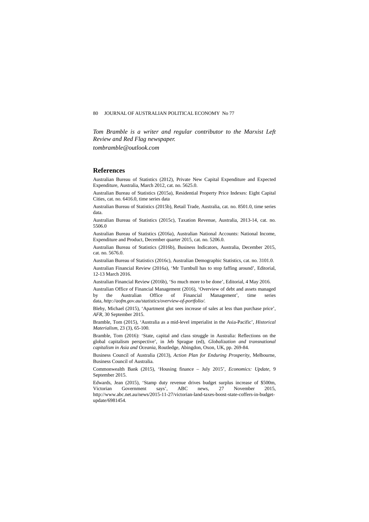*Tom Bramble is a writer and regular contributor to the Marxist Left Review and Red Flag newspaper.*

*tombramble@outlook.com*

### **References**

Australian Bureau of Statistics (2012), Private New Capital Expenditure and Expected Expenditure, Australia, March 2012, cat. no. 5625.0.

Australian Bureau of Statistics (2015a), Residential Property Price Indexes: Eight Capital Cities, cat. no. 6416.0, time series data

Australian Bureau of Statistics (2015b), Retail Trade, Australia, cat. no. 8501.0, time series data.

Australian Bureau of Statistics (2015c), Taxation Revenue, Australia, 2013-14, cat. no. 5506.0

Australian Bureau of Statistics (2016a), Australian National Accounts: National Income, Expenditure and Product, December quarter 2015, cat. no. 5206.0.

Australian Bureau of Statistics (2016b), Business Indicators, Australia, December 2015, cat. no. 5676.0.

Australian Bureau of Statistics (2016c), Australian Demographic Statistics, cat. no. 3101.0.

Australian Financial Review (2016a), 'Mr Turnbull has to stop faffing around', Editorial, 12-13 March 2016.

Australian Financial Review (2016b), 'So much more to be done', Editorial, 4 May 2016.

Australian Office of Financial Management (2016), 'Overview of debt and assets managed by the Australian Office of Financial Management', time series data, *[http://aofm.gov.au/statistics/overview-of-portfolio/.](http://aofm.gov.au/statistics/overview-of-portfolio/)*

Bleby, Michael (2015), 'Apartment glut sees increase of sales at less than purchase price', *AFR,* 30 September 2015.

Bramble, Tom (2015), 'Australia as a mid-level imperialist in the Asia-Pacific'*, Historical Materialism*, 23 (3), 65-100.

Bramble, Tom (2016): 'State, capital and class struggle in Australia: Reflections on the global capitalism perspective', in Jeb Sprague (ed), *Globalization and transnational capitalism in Asia and Oceania,* Routledge, Abingdon, Oxon, UK, pp. 269-84.

Business Council of Australia (2013), *Action Plan for Enduring Prosperity*, Melbourne, Business Council of Australia.

Commonwealth Bank (2015), 'Housing finance – July 2015', *Economics: Update*, 9 September 2015.

Edwards, Jean (2015), 'Stamp duty revenue drives budget surplus increase of \$500m, Victorian Government says', ABC news, 27 November 2015, http://www.abc.net.au/news/2015-11-27/victorian-land-taxes-boost-state-coffers-in-budgetupdate/6981454.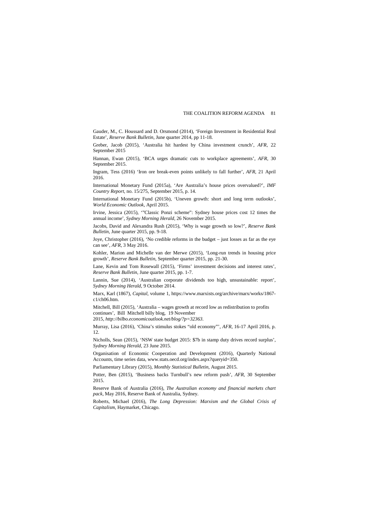Gauder, M., C. Houssard and D. Orsmond (2014), 'Foreign Investment in Residential Real Estate'*, Reserve Bank Bulletin*, June quarter 2014, pp 11-18.

Greber, Jacob (2015), 'Australia hit hardest by China investment crunch', *AFR*, 22 September 2015

Hannan, Ewan (2015), 'BCA urges dramatic cuts to workplace agreements', *AFR*, 30 September 2015.

Ingram, Tess (2016) 'Iron ore break-even points unlikely to fall further', *AFR*, 21 April 2016.

International Monetary Fund (2015a), 'Are Australia's house prices overvalued?', *IMF Country Report,* no. 15/275, September 2015, p. 14.

International Monetary Fund (2015b), 'Uneven growth: short and long term outlooks', *World Economic Outlook*, April 2015.

Irvine, Jessica (2015), '"Classic Ponzi scheme": Sydney house prices cost 12 times the annual income', *Sydney Morning Herald*, 26 November 2015.

Jacobs, David and Alexandra Rush (2015), 'Why is wage growth so low?', *Reserve Bank Bulletin*, June quarter 2015, pp. 9-18.

Joye, Christopher (2016), 'No credible reforms in the budget – just losses as far as the eye can see', *AFR*, 3 May 2016.

Kohler, Marion and Michelle van der Merwe (2015), 'Long-run trends in housing price growth'*, Reserve Bank Bulletin*, September quarter 2015, pp. 21-30.

Lane, Kevin and Tom Rosewall (2015), 'Firms' investment decisions and interest rates', *Reserve Bank Bulletin*, June quarter 2015, pp. 1-7.

Lannin, Sue (2014), 'Australian corporate dividends too high, unsustainable: report', *Sydney Morning Herald*, 9 October 2014.

Marx, Karl (1867), *Capital,* volume 1, https://www.marxists.org/archive/marx/works/1867 c1/ch06.htm.

Mitchell, Bill (2015), 'Australia – wages growth at record low as redistribution to profits continues', Bill Mitchell billy blog, 19 November

2015, *<http://bilbo.economicoutlook.net/blog/?p=32363>*.

Murray, Lisa (2016), 'China's stimulus stokes "old economy"', *AFR*, 16-17 April 2016, p. 12.

Nicholls, Sean (2015), 'NSW state budget 2015: \$7b in stamp duty drives record surplus', *Sydney Morning Herald,* 23 June 2015.

Organisation of Economic Cooperation and Development (2016), Quarterly National Accounts, time series data, www.stats.oecd.org/index.aspx?queryid=350.

Parliamentary Library (2015), *Monthly Statistical Bulletin*, August 2015.

Potter, Ben (2015), 'Business backs Turnbull's new reform push', *AFR,* 30 September 2015.

Reserve Bank of Australia (2016), *The Australian economy and financial markets chart pack,* May 2016, Reserve Bank of Australia, Sydney.

Roberts, Michael (2016), *The Long Depression: Marxism and the Global Crisis of Capitalism,* Haymarket, Chicago.